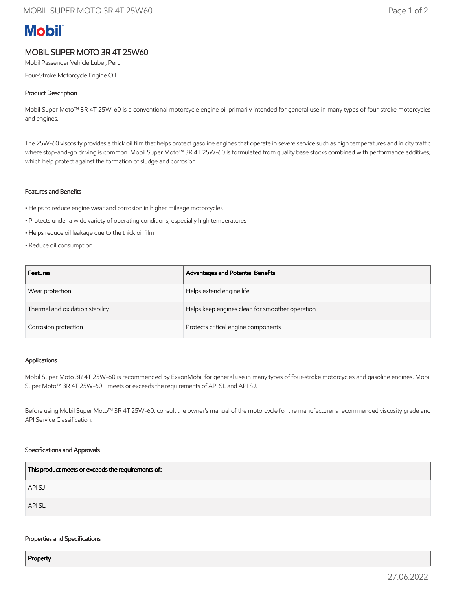# **Mobil**

# MOBIL SUPER MOTO 3R 4T 25W60

Mobil Passenger Vehicle Lube , Peru

Four-Stroke Motorcycle Engine Oil

### Product Description

Mobil Super Moto™ 3R 4T 25W-60 is a conventional motorcycle engine oil primarily intended for general use in many types of four-stroke motorcycles and engines.

The 25W-60 viscosity provides a thick oil film that helps protect gasoline engines that operate in severe service such as high temperatures and in city traffic where stop-and-go driving is common. Mobil Super Moto™ 3R 4T 25W-60 is formulated from quality base stocks combined with performance additives, which help protect against the formation of sludge and corrosion.

#### Features and Benefits

- Helps to reduce engine wear and corrosion in higher mileage motorcycles
- Protects under a wide variety of operating conditions, especially high temperatures
- Helps reduce oil leakage due to the thick oil film
- Reduce oil consumption

| <b>Features</b>                 | Advantages and Potential Benefits               |
|---------------------------------|-------------------------------------------------|
| Wear protection                 | Helps extend engine life                        |
| Thermal and oxidation stability | Helps keep engines clean for smoother operation |
| Corrosion protection            | Protects critical engine components             |

#### Applications

Mobil Super Moto 3R 4T 25W-60 is recommended by ExxonMobil for general use in many types of four-stroke motorcycles and gasoline engines. Mobil Super Moto<sup>™</sup> 3R 4T 25W-60 meets or exceeds the requirements of API SL and API SJ.

Before using Mobil Super Moto™ 3R 4T 25W-60, consult the owner's manual of the motorcycle for the manufacturer's recommended viscosity grade and API Service Classification.

#### Specifications and Approvals

| This product meets or exceeds the requirements of: |
|----------------------------------------------------|
| API SJ                                             |
| API SL                                             |

#### Properties and Specifications

Property